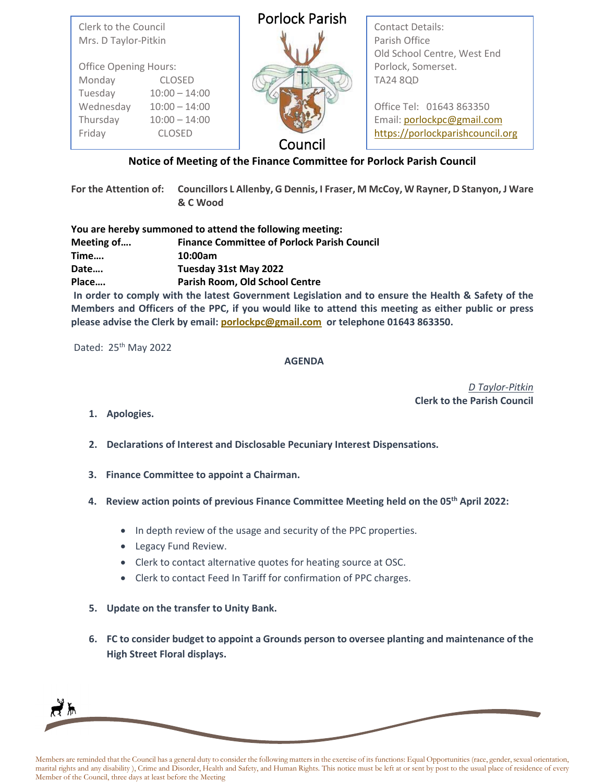| Clerk to the Council         | <b>Porlock Parish</b> | <b>Contact Details:</b>                      |
|------------------------------|-----------------------|----------------------------------------------|
| Mrs. D Taylor-Pitkin         |                       | Parish Office<br>Old School Centre, West End |
| <b>Office Opening Hours:</b> |                       | Porlock, Somerset.                           |
| Monday<br><b>CLOSED</b>      |                       | <b>TA24 8QD</b>                              |
| Tuesday<br>$10:00 - 14:00$   |                       |                                              |
| Wednesday<br>$10:00 - 14:00$ |                       | Office Tel: 01643 863350                     |
| Thursday<br>$10:00 - 14:00$  |                       | Email: porlockpc@gmail.com                   |
| Friday<br><b>CLOSED</b>      | Council               | https://porlockparishcouncil.org             |

## **Notice of Meeting of the Finance Committee for Porlock Parish Council**

**For the Attention of: Councillors L Allenby, G Dennis, I Fraser, M McCoy, W Rayner, D Stanyon, J Ware & C Wood**

|            | You are hereby summoned to attend the following meeting: |
|------------|----------------------------------------------------------|
| Meeting of | <b>Finance Committee of Porlock Parish Council</b>       |
| Time       | 10:00am                                                  |
| Date       | Tuesday 31st May 2022                                    |
| Place      | Parish Room, Old School Centre                           |

**In order to comply with the latest Government Legislation and to ensure the Health & Safety of the Members and Officers of the PPC, if you would like to attend this meeting as either public or press please advise the Clerk by email[: porlockpc@gmail.com](mailto:porlockpc@gmail.com) or telephone 01643 863350.**

Dated: 25<sup>th</sup> May 2022

## **AGENDA**

*D Taylor-Pitkin*  **Clerk to the Parish Council**

**1. Apologies.**

∤ኡ

- **2. Declarations of Interest and Disclosable Pecuniary Interest Dispensations.**
- **3. Finance Committee to appoint a Chairman.**
- **4. Review action points of previous Finance Committee Meeting held on the 05th April 2022:**
	- In depth review of the usage and security of the PPC properties.
	- Legacy Fund Review.
	- Clerk to contact alternative quotes for heating source at OSC.
	- Clerk to contact Feed In Tariff for confirmation of PPC charges.
- **5. Update on the transfer to Unity Bank.**
- **6. FC to consider budget to appoint a Grounds person to oversee planting and maintenance of the High Street Floral displays.**

Members are reminded that the Council has a general duty to consider the following matters in the exercise of its functions: Equal Opportunities (race, gender, sexual orientation, marital rights and any disability ), Crime and Disorder, Health and Safety, and Human Rights. This notice must be left at or sent by post to the usual place of residence of every Member of the Council, three days at least before the Meeting